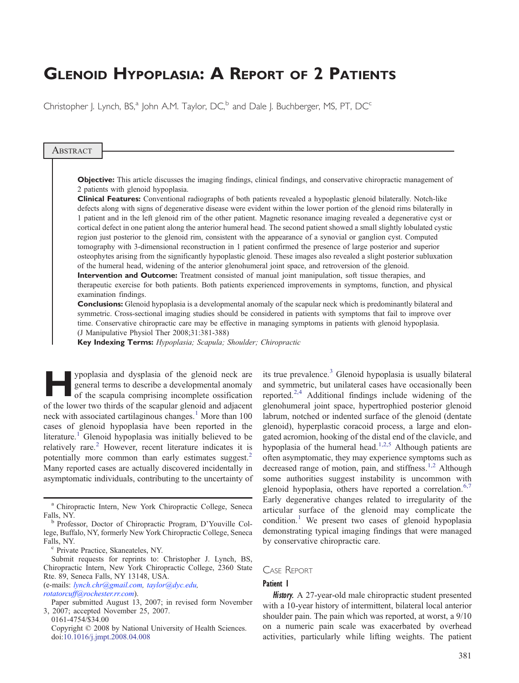# **GLENOID HYPOPLASIA: A REPORT OF 2 PATIENTS**

Christopher J. Lynch,  $BS_i^a$  John A.M. Taylor,  $DC_i^b$  and Dale J. Buchberger, MS, PT,  $DC^c$ 

**ABSTRACT** 

**Objective:** This article discusses the imaging findings, clinical findings, and conservative chiropractic management of 2 patients with glenoid hypoplasia.

Clinical Features: Conventional radiographs of both patients revealed a hypoplastic glenoid bilaterally. Notch-like defects along with signs of degenerative disease were evident within the lower portion of the glenoid rims bilaterally in 1 patient and in the left glenoid rim of the other patient. Magnetic resonance imaging revealed a degenerative cyst or cortical defect in one patient along the anterior humeral head. The second patient showed a small slightly lobulated cystic region just posterior to the glenoid rim, consistent with the appearance of a synovial or ganglion cyst. Computed tomography with 3-dimensional reconstruction in 1 patient confirmed the presence of large posterior and superior osteophytes arising from the significantly hypoplastic glenoid. These images also revealed a slight posterior subluxation of the humeral head, widening of the anterior glenohumeral joint space, and retroversion of the glenoid.

Intervention and Outcome: Treatment consisted of manual joint manipulation, soft tissue therapies, and therapeutic exercise for both patients. Both patients experienced improvements in symptoms, function, and physical examination findings.

Conclusions: Glenoid hypoplasia is a developmental anomaly of the scapular neck which is predominantly bilateral and symmetric. Cross-sectional imaging studies should be considered in patients with symptoms that fail to improve over time. Conservative chiropractic care may be effective in managing symptoms in patients with glenoid hypoplasia. (J Manipulative Physiol Ther 2008;31:381-388)

Key Indexing Terms: Hypoplasia; Scapula; Shoulder; Chiropractic

ypoplasia and dysplasia of the glenoid neck are general terms to describe a developmental anomaly of the scapula comprising incomplete ossification general terms to describe a developmental anomaly of the scapula comprising incomplete ossification of the lower two thirds of the scapular glenoid and adjacent neck with associated cartilaginous changes.<sup>[1](#page-7-0)</sup> More than 100 cases of glenoid hypoplasia have been reported in the literature.<sup>[1](#page-7-0)</sup> Glenoid hypoplasia was initially believed to be relatively rare.<sup>[2](#page-7-0)</sup> However, recent literature indicates it is potentially more common than early estimates suggest.<sup>[2](#page-7-0)</sup> Many reported cases are actually discovered incidentally in asymptomatic individuals, contributing to the uncertainty of

Submit requests for reprints to: Christopher J. Lynch, BS, Chiropractic Intern, New York Chiropractic College, 2360 State Rte. 89, Seneca Falls, NY 13148, USA.

(e-mails: [lynch.chr@gmail.com,](mailto:taylor@dyc.edu) taylor@dyc.edu, [rotatorcuff@rochester.rr.com](mailto:rotatorcuff@rochester.rr.com)).

0161-4754/\$34.00

its true prevalence.<sup>[3](#page-7-0)</sup> Glenoid hypoplasia is usually bilateral and symmetric, but unilateral cases have occasionally been reported.<sup>[2,4](#page-7-0)</sup> Additional findings include widening of the glenohumeral joint space, hypertrophied posterior glenoid labrum, notched or indented surface of the glenoid (dentate glenoid), hyperplastic coracoid process, a large and elongated acromion, hooking of the distal end of the clavicle, and hypoplasia of the humeral head.<sup>[1,2,5](#page-7-0)</sup> Although patients are often asymptomatic, they may experience symptoms such as decreased range of motion, pain, and stiffness.<sup>[1,2](#page-7-0)</sup> Although some authorities suggest instability is uncommon with glenoid hypoplasia, others have reported a correlation. $6,7$ Early degenerative changes related to irregularity of the articular surface of the glenoid may complicate the condition.<sup>[1](#page-7-0)</sup> We present two cases of glenoid hypoplasia demonstrating typical imaging findings that were managed by conservative chiropractic care.

#### CASE REPORT

#### Patient 1

**History.** A 27-year-old male chiropractic student presented with a 10-year history of intermittent, bilateral local anterior shoulder pain. The pain which was reported, at worst, a 9/10 on a numeric pain scale was exacerbated by overhead activities, particularly while lifting weights. The patient

<sup>a</sup> Chiropractic Intern, New York Chiropractic College, Seneca Falls, NY.<br><sup>b</sup> Professor, Doctor of Chiropractic Program, D'Youville Col-

lege, Buffalo, NY, formerly New York Chiropractic College, Seneca Falls, NY.<br><sup>c</sup> Private Practice, Skaneateles, NY.

Paper submitted August 13, 2007; in revised form November 3, 2007; accepted November 25, 2007.

Copyright © 2008 by National University of Health Sciences. doi:[10.1016/j.jmpt.2008.04.008](http://dx.doi.org/10.1016/j.jmpt.2008.04.008)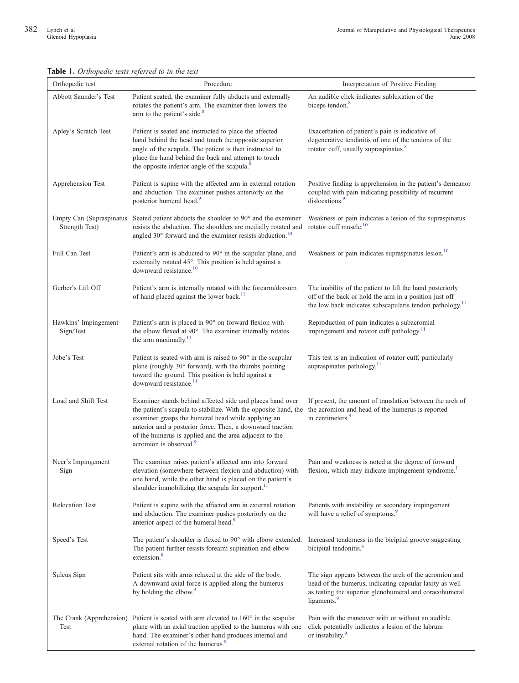## Table 1. Orthopedic tests referred to in the text

<span id="page-1-0"></span>

| Orthopedic test                            | Procedure                                                                                                                                                                                                                                                                                                                                       | Interpretation of Positive Finding                                                                                                                                                                    |
|--------------------------------------------|-------------------------------------------------------------------------------------------------------------------------------------------------------------------------------------------------------------------------------------------------------------------------------------------------------------------------------------------------|-------------------------------------------------------------------------------------------------------------------------------------------------------------------------------------------------------|
| Abbott Saunder's Test                      | Patient seated, the examiner fully abducts and externally<br>rotates the patient's arm. The examiner then lowers the<br>arm to the patient's side. <sup>8</sup>                                                                                                                                                                                 | An audible click indicates subluxation of the<br>biceps tendon. <sup>8</sup>                                                                                                                          |
| Apley's Scratch Test                       | Patient is seated and instructed to place the affected<br>hand behind the head and touch the opposite superior<br>angle of the scapula. The patient is then instructed to<br>place the hand behind the back and attempt to touch<br>the opposite inferior angle of the scapula. <sup>8</sup>                                                    | Exacerbation of patient's pain is indicative of<br>degenerative tendinitis of one of the tendons of the<br>rotator cuff, usually supraspinatus. <sup>8</sup>                                          |
| Apprehension Test                          | Patient is supine with the affected arm in external rotation<br>and abduction. The examiner pushes anteriorly on the<br>posterior humeral head. <sup>9</sup>                                                                                                                                                                                    | Positive finding is apprehension in the patient's demeanor<br>coupled with pain indicating possibility of recurrent<br>dislocations. <sup>9</sup>                                                     |
| Empty Can (Supraspinatus<br>Strength Test) | Seated patient abducts the shoulder to 90° and the examiner<br>resists the abduction. The shoulders are medially rotated and<br>angled $30^{\circ}$ forward and the examiner resists abduction. <sup>10</sup>                                                                                                                                   | Weakness or pain indicates a lesion of the supraspinatus<br>rotator cuff muscle. <sup>10</sup>                                                                                                        |
| Full Can Test                              | Patient's arm is abducted to 90° in the scapular plane, and<br>externally rotated 45°. This position is held against a<br>downward resistance. <sup>10</sup>                                                                                                                                                                                    | Weakness or pain indicates supraspinatus lesion. <sup>10</sup>                                                                                                                                        |
| Gerber's Lift Off                          | Patient's arm is internally rotated with the forearm/dorsum<br>of hand placed against the lower back. <sup>11</sup>                                                                                                                                                                                                                             | The inability of the patient to lift the hand posteriorly<br>off of the back or hold the arm in a position just off<br>the low back indicates subscapularis tendon pathology. <sup>11</sup>           |
| Hawkins' Impingement<br>Sign/Test          | Patient's arm is placed in 90° on forward flexion with<br>the elbow flexed at 90°. The examiner internally rotates<br>the arm maximally. <sup>11</sup>                                                                                                                                                                                          | Reproduction of pain indicates a subacromial<br>impingement and rotator cuff pathology. <sup>11</sup>                                                                                                 |
| Jobe's Test                                | Patient is seated with arm is raised to 90° in the scapular<br>plane (roughly 30° forward), with the thumbs pointing<br>toward the ground. This position is held against a<br>downward resistance. <sup>11</sup>                                                                                                                                | This test is an indication of rotator cuff, particularly<br>supraspinatus pathology. <sup>11</sup>                                                                                                    |
| Load and Shift Test                        | Examiner stands behind affected side and places hand over<br>the patient's scapula to stabilize. With the opposite hand, the<br>examiner grasps the humeral head while applying an<br>anterior and a posterior force. Then, a downward traction<br>of the humerus is applied and the area adjacent to the<br>acromion is observed. <sup>9</sup> | If present, the amount of translation between the arch of<br>the acromion and head of the humerus is reported<br>in centimeters. <sup>9</sup>                                                         |
| Neer's Impingement<br>Sign                 | The examiner raises patient's affected arm into forward<br>elevation (somewhere between flexion and abduction) with<br>one hand, while the other hand is placed on the patient's<br>shoulder immobilizing the scapula for support. $^{11}$                                                                                                      | Pain and weakness is noted at the degree of forward<br>flexion, which may indicate impingement syndrome. <sup>11</sup>                                                                                |
| <b>Relocation Test</b>                     | Patient is supine with the affected arm in external rotation<br>and abduction. The examiner pushes posteriorly on the<br>anterior aspect of the humeral head. <sup>9</sup>                                                                                                                                                                      | Patients with instability or secondary impingement<br>will have a relief of symptoms. <sup>9</sup>                                                                                                    |
| Speed's Test                               | The patient's shoulder is flexed to 90° with elbow extended.<br>The patient further resists forearm supination and elbow<br>extension. <sup>8</sup>                                                                                                                                                                                             | Increased tenderness in the bicipital groove suggesting<br>bicipital tendonitis. <sup>8</sup>                                                                                                         |
| Sulcus Sign                                | Patient sits with arms relaxed at the side of the body.<br>A downward axial force is applied along the humerus<br>by holding the elbow. <sup>9</sup>                                                                                                                                                                                            | The sign appears between the arch of the acromion and<br>head of the humerus, indicating capsular laxity as well<br>as testing the superior glenohumeral and coracohumeral<br>ligaments. <sup>9</sup> |
| The Crank (Apprehension)<br>Test           | Patient is seated with arm elevated to $160^\circ$ in the scapular<br>plane with an axial traction applied to the humerus with one<br>hand. The examiner's other hand produces internal and<br>external rotation of the humerus. <sup>9</sup>                                                                                                   | Pain with the maneuver with or without an audible<br>click potentially indicates a lesion of the labrum<br>or instability. <sup>9</sup>                                                               |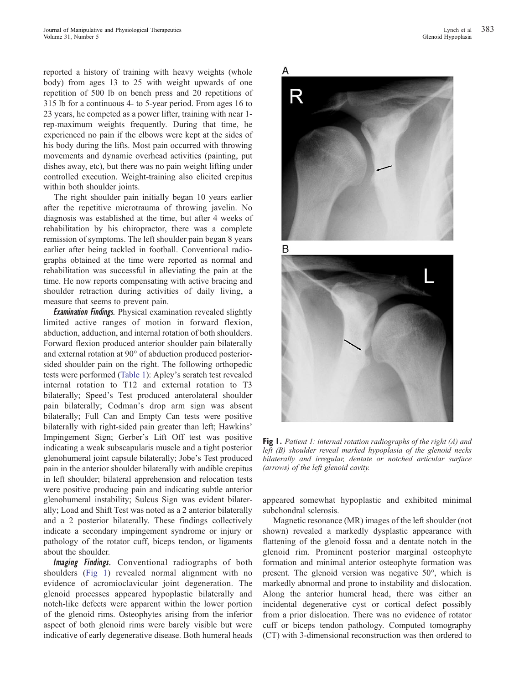reported a history of training with heavy weights (whole body) from ages 13 to 25 with weight upwards of one repetition of 500 lb on bench press and 20 repetitions of 315 lb for a continuous 4- to 5-year period. From ages 16 to 23 years, he competed as a power lifter, training with near 1 rep-maximum weights frequently. During that time, he experienced no pain if the elbows were kept at the sides of his body during the lifts. Most pain occurred with throwing movements and dynamic overhead activities (painting, put dishes away, etc), but there was no pain weight lifting under controlled execution. Weight-training also elicited crepitus within both shoulder joints.

The right shoulder pain initially began 10 years earlier after the repetitive microtrauma of throwing javelin. No diagnosis was established at the time, but after 4 weeks of rehabilitation by his chiropractor, there was a complete remission of symptoms. The left shoulder pain began 8 years earlier after being tackled in football. Conventional radiographs obtained at the time were reported as normal and rehabilitation was successful in alleviating the pain at the time. He now reports compensating with active bracing and shoulder retraction during activities of daily living, a measure that seems to prevent pain.

**Examination Findings.** Physical examination revealed slightly limited active ranges of motion in forward flexion, abduction, adduction, and internal rotation of both shoulders. Forward flexion produced anterior shoulder pain bilaterally and external rotation at 90° of abduction produced posteriorsided shoulder pain on the right. The following orthopedic tests were performed ([Table 1](#page-1-0)): Apley's scratch test revealed internal rotation to T12 and external rotation to T3 bilaterally; Speed's Test produced anterolateral shoulder pain bilaterally; Codman's drop arm sign was absent bilaterally; Full Can and Empty Can tests were positive bilaterally with right-sided pain greater than left; Hawkins' Impingement Sign; Gerber's Lift Off test was positive indicating a weak subscapularis muscle and a tight posterior glenohumeral joint capsule bilaterally; Jobe's Test produced pain in the anterior shoulder bilaterally with audible crepitus in left shoulder; bilateral apprehension and relocation tests were positive producing pain and indicating subtle anterior glenohumeral instability; Sulcus Sign was evident bilaterally; Load and Shift Test was noted as a 2 anterior bilaterally and a 2 posterior bilaterally. These findings collectively indicate a secondary impingement syndrome or injury or pathology of the rotator cuff, biceps tendon, or ligaments about the shoulder.

<span id="page-2-0"></span>Imaging Findings. Conventional radiographs of both shoulders [\(Fig 1](#page-2-0)) revealed normal alignment with no evidence of acromioclavicular joint degeneration. The glenoid processes appeared hypoplastic bilaterally and notch-like defects were apparent within the lower portion of the glenoid rims. Osteophytes arising from the inferior aspect of both glenoid rims were barely visible but were indicative of early degenerative disease. Both humeral heads





Fig  $\mathsf I$ . Patient 1: internal rotation radiographs of the right (A) and left (B) shoulder reveal marked hypoplasia of the glenoid necks bilaterally and irregular, dentate or notched articular surface (arrows) of the left glenoid cavity.

appeared somewhat hypoplastic and exhibited minimal subchondral sclerosis.

Magnetic resonance (MR) images of the left shoulder (not shown) revealed a markedly dysplastic appearance with flattening of the glenoid fossa and a dentate notch in the glenoid rim. Prominent posterior marginal osteophyte formation and minimal anterior osteophyte formation was present. The glenoid version was negative 50°, which is markedly abnormal and prone to instability and dislocation. Along the anterior humeral head, there was either an incidental degenerative cyst or cortical defect possibly from a prior dislocation. There was no evidence of rotator cuff or biceps tendon pathology. Computed tomography (CT) with 3-dimensional reconstruction was then ordered to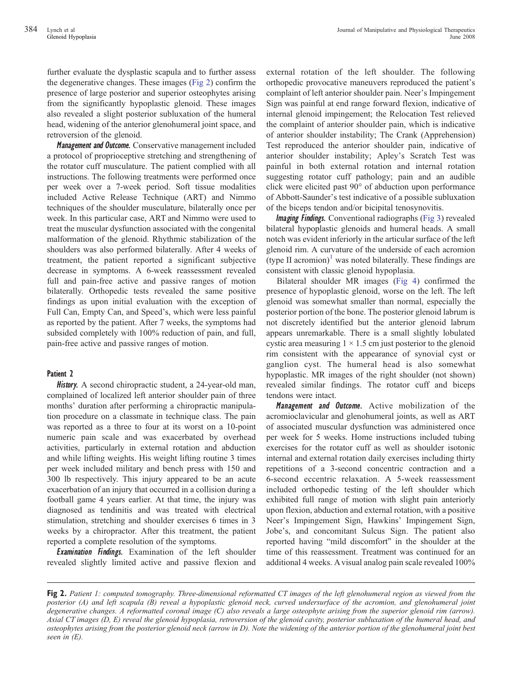further evaluate the dysplastic scapula and to further assess the degenerative changes. These images (Fig 2) confirm the presence of large posterior and superior osteophytes arising from the significantly hypoplastic glenoid. These images also revealed a slight posterior subluxation of the humeral head, widening of the anterior glenohumeral joint space, and retroversion of the glenoid.

**Management and Outcome.** Conservative management included a protocol of proprioceptive stretching and strengthening of the rotator cuff musculature. The patient complied with all instructions. The following treatments were performed once per week over a 7-week period. Soft tissue modalities included Active Release Technique (ART) and Nimmo techniques of the shoulder musculature, bilaterally once per week. In this particular case, ART and Nimmo were used to treat the muscular dysfunction associated with the congenital malformation of the glenoid. Rhythmic stabilization of the shoulders was also performed bilaterally. After 4 weeks of treatment, the patient reported a significant subjective decrease in symptoms. A 6-week reassessment revealed full and pain-free active and passive ranges of motion bilaterally. Orthopedic tests revealed the same positive findings as upon initial evaluation with the exception of Full Can, Empty Can, and Speed's, which were less painful as reported by the patient. After 7 weeks, the symptoms had subsided completely with 100% reduction of pain, and full, pain-free active and passive ranges of motion.

## Patient 2

History. A second chiropractic student, a 24-year-old man, complained of localized left anterior shoulder pain of three months' duration after performing a chiropractic manipulation procedure on a classmate in technique class. The pain was reported as a three to four at its worst on a 10-point numeric pain scale and was exacerbated by overhead activities, particularly in external rotation and abduction and while lifting weights. His weight lifting routine 3 times per week included military and bench press with 150 and 300 lb respectively. This injury appeared to be an acute exacerbation of an injury that occurred in a collision during a football game 4 years earlier. At that time, the injury was diagnosed as tendinitis and was treated with electrical stimulation, stretching and shoulder exercises 6 times in 3 weeks by a chiropractor. After this treatment, the patient reported a complete resolution of the symptoms.

**Examination Findings.** Examination of the left shoulder revealed slightly limited active and passive flexion and

external rotation of the left shoulder. The following orthopedic provocative maneuvers reproduced the patient's complaint of left anterior shoulder pain. Neer's Impingement Sign was painful at end range forward flexion, indicative of internal glenoid impingement; the Relocation Test relieved the complaint of anterior shoulder pain, which is indicative of anterior shoulder instability; The Crank (Apprehension) Test reproduced the anterior shoulder pain, indicative of anterior shoulder instability; Apley's Scratch Test was painful in both external rotation and internal rotation suggesting rotator cuff pathology; pain and an audible click were elicited past 90° of abduction upon performance of Abbott-Saunder's test indicative of a possible subluxation of the biceps tendon and/or bicipital tenosynovitis.

**Imaging Findings.** Conventional radiographs [\(Fig 3\)](#page-5-0) revealed bilateral hypoplastic glenoids and humeral heads. A small notch was evident inferiorly in the articular surface of the left glenoid rim. A curvature of the underside of each acromion (type II acromion)<sup>[1](#page-7-0)</sup> was noted bilaterally. These findings are consistent with classic glenoid hypoplasia.

Bilateral shoulder MR images [\(Fig 4](#page-6-0)) confirmed the presence of hypoplastic glenoid, worse on the left. The left glenoid was somewhat smaller than normal, especially the posterior portion of the bone. The posterior glenoid labrum is not discretely identified but the anterior glenoid labrum appears unremarkable. There is a small slightly lobulated cystic area measuring  $1 \times 1.5$  cm just posterior to the glenoid rim consistent with the appearance of synovial cyst or ganglion cyst. The humeral head is also somewhat hypoplastic. MR images of the right shoulder (not shown) revealed similar findings. The rotator cuff and biceps tendons were intact.

Management and Outcome. Active mobilization of the acromioclavicular and glenohumeral joints, as well as ART of associated muscular dysfunction was administered once per week for 5 weeks. Home instructions included tubing exercises for the rotator cuff as well as shoulder isotonic internal and external rotation daily exercises including thirty repetitions of a 3-second concentric contraction and a 6-second eccentric relaxation. A 5-week reassessment included orthopedic testing of the left shoulder which exhibited full range of motion with slight pain anteriorly upon flexion, abduction and external rotation, with a positive Neer's Impingement Sign, Hawkins' Impingement Sign, Jobe's, and concomitant Sulcus Sign. The patient also reported having "mild discomfort" in the shoulder at the time of this reassessment. Treatment was continued for an additional 4 weeks. A visual analog pain scale revealed 100%

Fig 2. Patient 1: computed tomography. Three-dimensional reformatted CT images of the left glenohumeral region as viewed from the posterior (A) and left scapula (B) reveal a hypoplastic glenoid neck, curved undersurface of the acromion, and glenohumeral joint degenerative changes. A reformatted coronal image (C) also reveals a large osteophyte arising from the superior glenoid rim (arrow). Axial CT images (D, E) reveal the glenoid hypoplasia, retroversion of the glenoid cavity, posterior subluxation of the humeral head, and osteophytes arising from the posterior glenoid neck (arrow in D). Note the widening of the anterior portion of the glenohumeral joint best seen in (E).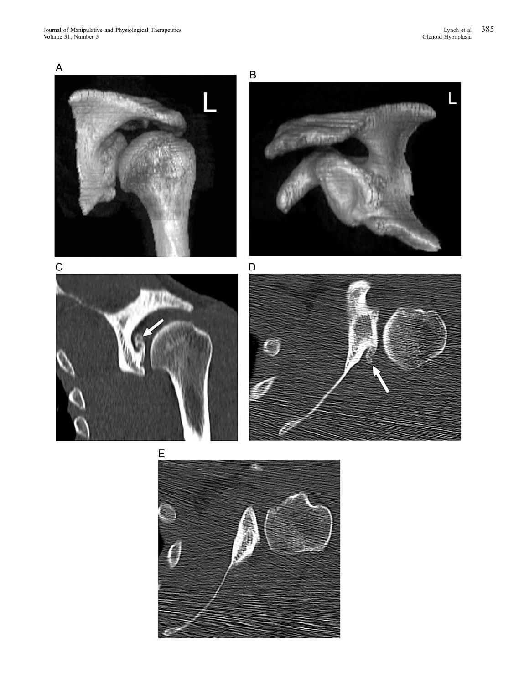

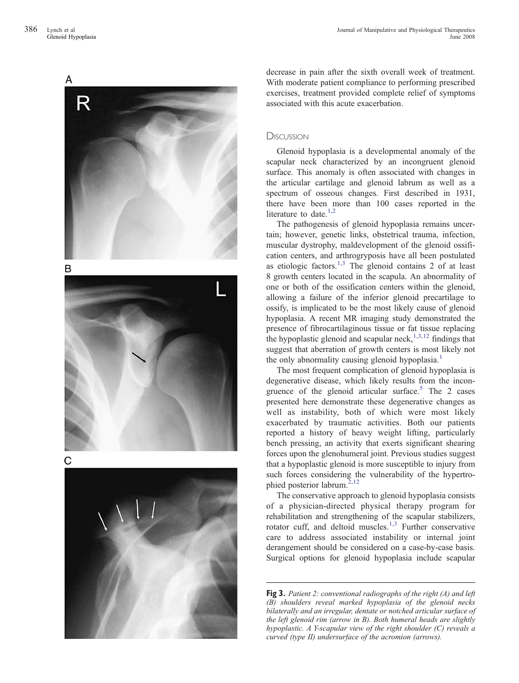

Ć

<span id="page-5-0"></span>

decrease in pain after the sixth overall week of treatment. With moderate patient compliance to performing prescribed exercises, treatment provided complete relief of symptoms associated with this acute exacerbation.

#### **DISCUSSION**

Glenoid hypoplasia is a developmental anomaly of the scapular neck characterized by an incongruent glenoid surface. This anomaly is often associated with changes in the articular cartilage and glenoid labrum as well as a spectrum of osseous changes. First described in 1931, there have been more than 100 cases reported in the literature to date. $1,2$ 

The pathogenesis of glenoid hypoplasia remains uncertain; however, genetic links, obstetrical trauma, infection, muscular dystrophy, maldevelopment of the glenoid ossification centers, and arthrogryposis have all been postulated as etiologic factors.<sup>[1,3](#page-7-0)</sup> The glenoid contains 2 of at least 8 growth centers located in the scapula. An abnormality of one or both of the ossification centers within the glenoid, allowing a failure of the inferior glenoid precartilage to ossify, is implicated to be the most likely cause of glenoid hypoplasia. A recent MR imaging study demonstrated the presence of fibrocartilaginous tissue or fat tissue replacing the hypoplastic glenoid and scapular neck,  $1,3,12$  findings that suggest that aberration of growth centers is most likely not the only abnormality causing glenoid hypoplasia.<sup>[1](#page-7-0)</sup>

The most frequent complication of glenoid hypoplasia is degenerative disease, which likely results from the incon-gruence of the glenoid articular surface.<sup>[5](#page-7-0)</sup> The 2 cases presented here demonstrate these degenerative changes as well as instability, both of which were most likely exacerbated by traumatic activities. Both our patients reported a history of heavy weight lifting, particularly bench pressing, an activity that exerts significant shearing forces upon the glenohumeral joint. Previous studies suggest that a hypoplastic glenoid is more susceptible to injury from such forces considering the vulnerability of the hypertro-phied posterior labrum.<sup>[2,12](#page-7-0)</sup>

The conservative approach to glenoid hypoplasia consists of a physician-directed physical therapy program for rehabilitation and strengthening of the scapular stabilizers, rotator cuff, and deltoid muscles.<sup>[1,3](#page-7-0)</sup> Further conservative care to address associated instability or internal joint derangement should be considered on a case-by-case basis. Surgical options for glenoid hypoplasia include scapular

Fig 3. Patient 2: conventional radiographs of the right  $(A)$  and left (B) shoulders reveal marked hypoplasia of the glenoid necks bilaterally and an irregular, dentate or notched articular surface of the left glenoid rim (arrow in B). Both humeral heads are slightly hypoplastic. A Y-scapular view of the right shoulder (C) reveals a curved (type II) undersurface of the acromion (arrows).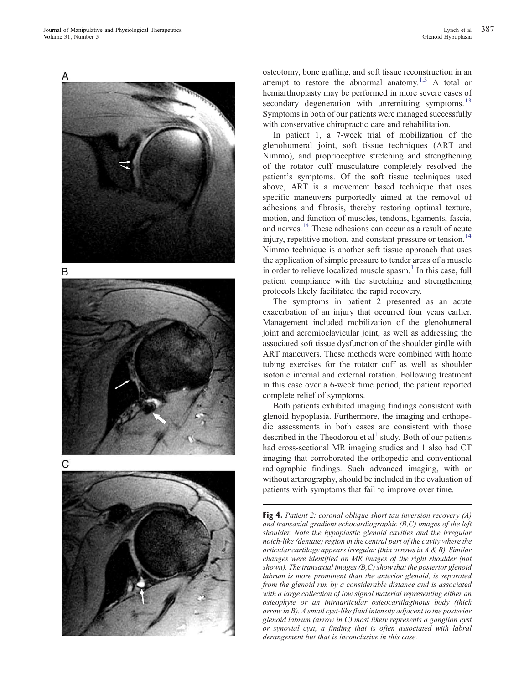

osteotomy, bone grafting, and soft tissue reconstruction in an attempt to restore the abnormal anatomy.<sup>[1,3](#page-7-0)</sup> A total or hemiarthroplasty may be performed in more severe cases of secondary degeneration with unremitting symptoms.<sup>[13](#page-7-0)</sup> Symptoms in both of our patients were managed successfully with conservative chiropractic care and rehabilitation.

In patient 1, a 7-week trial of mobilization of the glenohumeral joint, soft tissue techniques (ART and Nimmo), and proprioceptive stretching and strengthening of the rotator cuff musculature completely resolved the patient's symptoms. Of the soft tissue techniques used above, ART is a movement based technique that uses specific maneuvers purportedly aimed at the removal of adhesions and fibrosis, thereby restoring optimal texture, motion, and function of muscles, tendons, ligaments, fascia, and nerves.<sup>[14](#page-7-0)</sup> These adhesions can occur as a result of acute injury, repetitive motion, and constant pressure or tension.<sup>[14](#page-7-0)</sup> Nimmo technique is another soft tissue approach that uses the application of simple pressure to tender areas of a muscle in order to relieve localized muscle spasm. $<sup>1</sup>$  $<sup>1</sup>$  $<sup>1</sup>$  In this case, full</sup> patient compliance with the stretching and strengthening protocols likely facilitated the rapid recovery.

The symptoms in patient 2 presented as an acute exacerbation of an injury that occurred four years earlier. Management included mobilization of the glenohumeral joint and acromioclavicular joint, as well as addressing the associated soft tissue dysfunction of the shoulder girdle with ART maneuvers. These methods were combined with home tubing exercises for the rotator cuff as well as shoulder isotonic internal and external rotation. Following treatment in this case over a 6-week time period, the patient reported complete relief of symptoms.

Both patients exhibited imaging findings consistent with glenoid hypoplasia. Furthermore, the imaging and orthopedic assessments in both cases are consistent with those described in the Theodorou et al<sup>[1](#page-7-0)</sup> study. Both of our patients had cross-sectional MR imaging studies and 1 also had CT imaging that corroborated the orthopedic and conventional radiographic findings. Such advanced imaging, with or without arthrography, should be included in the evaluation of patients with symptoms that fail to improve over time.

<span id="page-6-0"></span>Fig 4. Patient 2: coronal oblique short tau inversion recovery  $(A)$ and transaxial gradient echocardiographic (B,C) images of the left shoulder. Note the hypoplastic glenoid cavities and the irregular notch-like (dentate) region in the central part of the cavity where the articular cartilage appears irregular (thin arrows in  $A \& B$ ). Similar changes were identified on MR images of the right shoulder (not shown). The transaxial images  $(B, C)$  show that the posterior glenoid labrum is more prominent than the anterior glenoid, is separated from the glenoid rim by a considerable distance and is associated with a large collection of low signal material representing either an osteophyte or an intraarticular osteocartilaginous body (thick arrow in B). A small cyst-like fluid intensity adjacent to the posterior glenoid labrum (arrow in C) most likely represents a ganglion cyst or synovial cyst, a finding that is often associated with labral derangement but that is inconclusive in this case.